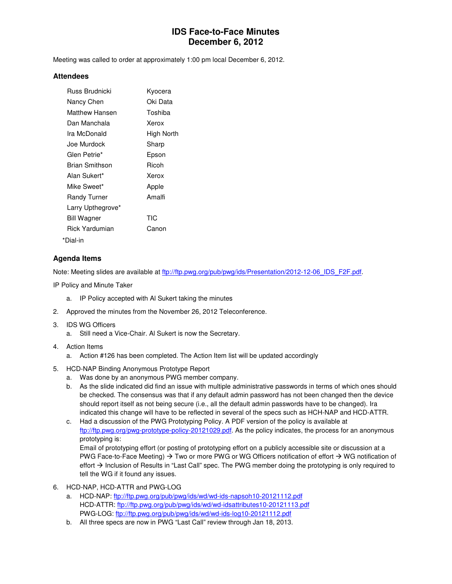## **IDS Face-to-Face Minutes December 6, 2012**

Meeting was called to order at approximately 1:00 pm local December 6, 2012.

#### **Attendees**

| <b>Russ Brudnicki</b> | Kyocera    |
|-----------------------|------------|
| Nancy Chen            | Oki Data   |
| Matthew Hansen        | Toshiba    |
| Dan Manchala          | Xerox      |
| Ira McDonald          | High North |
| Joe Murdock           | Sharp      |
| Glen Petrie*          | Epson      |
| Brian Smithson        | Ricoh      |
| Alan Sukert*          | Xerox      |
| Mike Sweet*           | Apple      |
| <b>Randy Turner</b>   | Amalfi     |
| Larry Upthegrove*     |            |
| <b>Bill Wagner</b>    | TIC        |
| Rick Yardumian        | Canon      |
| *Dial-in              |            |

#### **Agenda Items**

Note: Meeting slides are available at ftp://ftp.pwg.org/pub/pwg/ids/Presentation/2012-12-06\_IDS\_F2F.pdf.

IP Policy and Minute Taker

- a. IP Policy accepted with Al Sukert taking the minutes
- 2. Approved the minutes from the November 26, 2012 Teleconference.
- 3. IDS WG Officers
	- a. Still need a Vice-Chair. Al Sukert is now the Secretary.
- 4. Action Items
	- a. Action #126 has been completed. The Action Item list will be updated accordingly
- 5. HCD-NAP Binding Anonymous Prototype Report
	- a. Was done by an anonymous PWG member company.
	- b. As the slide indicated did find an issue with multiple administrative passwords in terms of which ones should be checked. The consensus was that if any default admin password has not been changed then the device should report itself as not being secure (i.e., all the default admin passwords have to be changed). Ira indicated this change will have to be reflected in several of the specs such as HCH-NAP and HCD-ATTR.
	- c. Had a discussion of the PWG Prototyping Policy. A PDF version of the policy is available at ftp://ftp.pwg.org/pwg-prototype-policy-20121029.pdf. As the policy indicates, the process for an anonymous prototyping is:

Email of prototyping effort (or posting of prototyping effort on a publicly accessible site or discussion at a PWG Face-to-Face Meeting)  $\rightarrow$  Two or more PWG or WG Officers notification of effort  $\rightarrow$  WG notification of effort  $\rightarrow$  Inclusion of Results in "Last Call" spec. The PWG member doing the prototyping is only required to tell the WG if it found any issues.

- 6. HCD-NAP, HCD-ATTR and PWG-LOG
	- a. HCD-NAP: ftp://ftp.pwg.org/pub/pwg/ids/wd/wd-ids-napsoh10-20121112.pdf HCD-ATTR: ftp://ftp.pwg.org/pub/pwg/ids/wd/wd-idsattributes10-20121113.pdf PWG-LOG: ftp://ftp.pwg.org/pub/pwg/ids/wd/wd-ids-log10-20121112.pdf
	- b. All three specs are now in PWG "Last Call" review through Jan 18, 2013.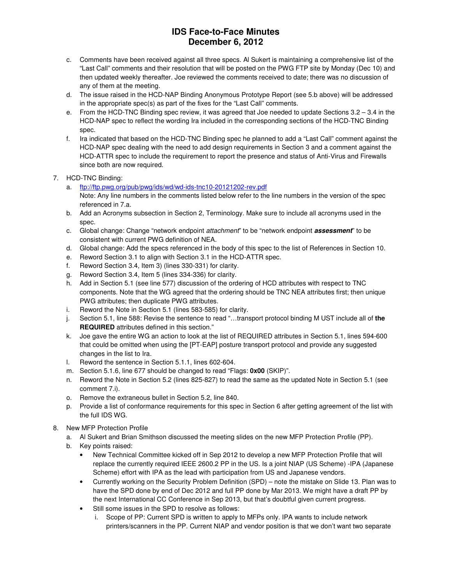# **IDS Face-to-Face Minutes December 6, 2012**

- c. Comments have been received against all three specs. Al Sukert is maintaining a comprehensive list of the "Last Call" comments and their resolution that will be posted on the PWG FTP site by Monday (Dec 10) and then updated weekly thereafter. Joe reviewed the comments received to date; there was no discussion of any of them at the meeting.
- d. The issue raised in the HCD-NAP Binding Anonymous Prototype Report (see 5.b above) will be addressed in the appropriate spec(s) as part of the fixes for the "Last Call" comments.
- e. From the HCD-TNC Binding spec review, it was agreed that Joe needed to update Sections 3.2 3.4 in the HCD-NAP spec to reflect the wording Ira included in the corresponding sections of the HCD-TNC Binding spec.
- f. Ira indicated that based on the HCD-TNC Binding spec he planned to add a "Last Call" comment against the HCD-NAP spec dealing with the need to add design requirements in Section 3 and a comment against the HCD-ATTR spec to include the requirement to report the presence and status of Anti-Virus and Firewalls since both are now required.
- 7. HCD-TNC Binding:
	- a. ftp://ftp.pwg.org/pub/pwg/ids/wd/wd-ids-tnc10-20121202-rev.pdf Note: Any line numbers in the comments listed below refer to the line numbers in the version of the spec referenced in 7.a.
	- b. Add an Acronyms subsection in Section 2, Terminology. Make sure to include all acronyms used in the spec.
	- c. Global change: Change "network endpoint attachment" to be "network endpoint **assessment**" to be consistent with current PWG definition of NEA.
	- d. Global change: Add the specs referenced in the body of this spec to the list of References in Section 10.
	- e. Reword Section 3.1 to align with Section 3.1 in the HCD-ATTR spec.
	- f. Reword Section 3.4, Item 3) (lines 330-331) for clarity.
	- g. Reword Section 3.4, Item 5 (lines 334-336) for clarity.
	- h. Add in Section 5.1 (see line 577) discussion of the ordering of HCD attributes with respect to TNC components. Note that the WG agreed that the ordering should be TNC NEA attributes first; then unique PWG attributes; then duplicate PWG attributes.
	- i. Reword the Note in Section 5.1 (lines 583-585) for clarity.
	- j. Section 5.1, line 588: Revise the sentence to read "…transport protocol binding M UST include all of **the REQUIRED** attributes defined in this section."
	- k. Joe gave the entire WG an action to look at the list of REQUIRED attributes in Section 5.1, lines 594-600 that could be omitted when using the [PT-EAP] posture transport protocol and provide any suggested changes in the list to Ira.
	- l. Reword the sentence in Section 5.1.1, lines 602-604.
	- m. Section 5.1.6, line 677 should be changed to read "Flags: **0x00** (SKIP)".
	- n. Reword the Note in Section 5.2 (lines 825-827) to read the same as the updated Note in Section 5.1 (see comment 7.i).
	- o. Remove the extraneous bullet in Section 5.2, line 840.
	- p. Provide a list of conformance requirements for this spec in Section 6 after getting agreement of the list with the full IDS WG.
- 8. New MFP Protection Profile
	- a. Al Sukert and Brian Smithson discussed the meeting slides on the new MFP Protection Profile (PP).
	- b. Key points raised:
		- New Technical Committee kicked off in Sep 2012 to develop a new MFP Protection Profile that will replace the currently required IEEE 2600.2 PP in the US. Is a joint NIAP (US Scheme) -IPA (Japanese Scheme) effort with IPA as the lead with participation from US and Japanese vendors.
		- Currently working on the Security Problem Definition (SPD) note the mistake on Slide 13. Plan was to have the SPD done by end of Dec 2012 and full PP done by Mar 2013. We might have a draft PP by the next International CC Conference in Sep 2013, but that's doubtful given current progress.
		- Still some issues in the SPD to resolve as follows:
			- i. Scope of PP: Current SPD is written to apply to MFPs only. IPA wants to include network printers/scanners in the PP. Current NIAP and vendor position is that we don't want two separate